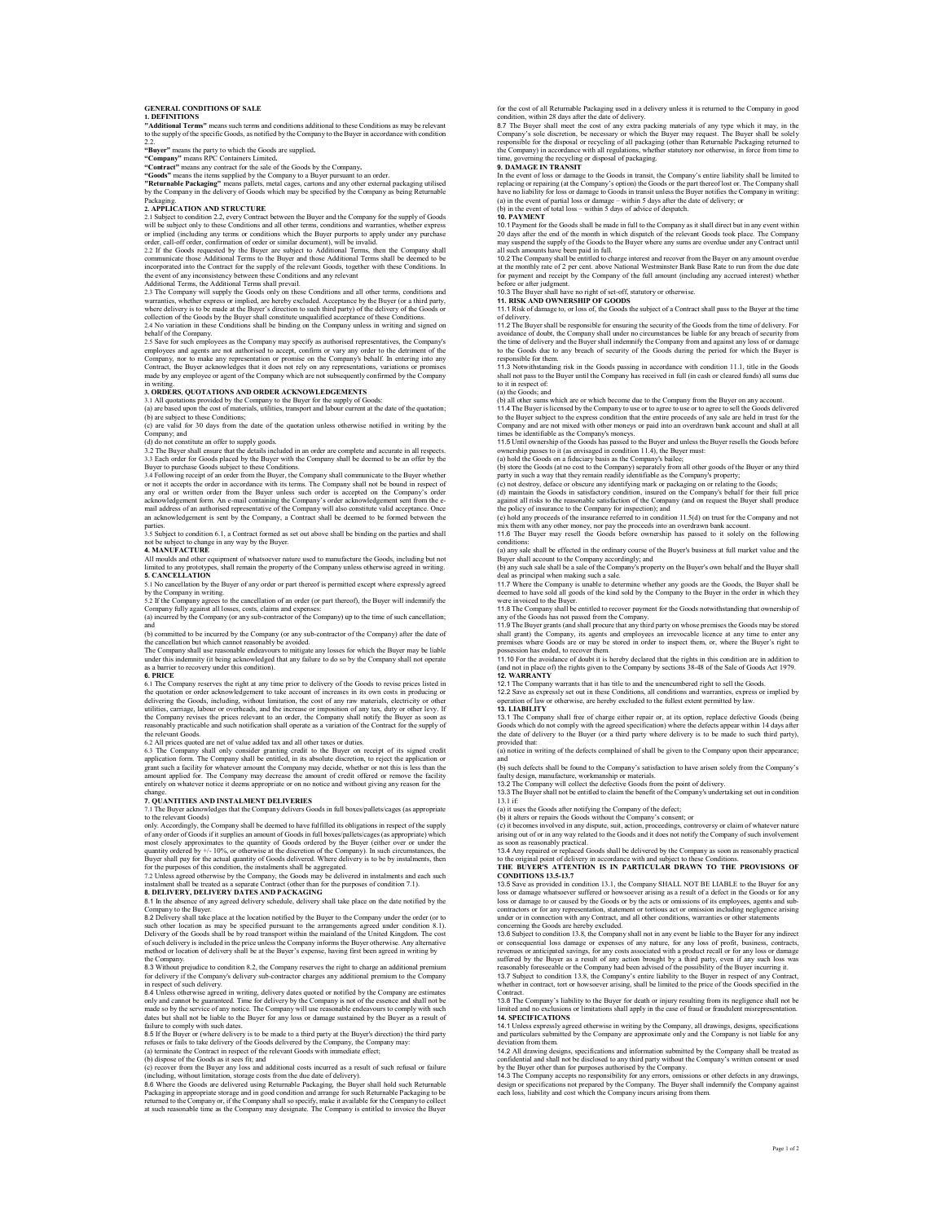### GENERAL CONDITIONS OF SALE

## 1. DEFINITIONS

**"Additional Terms"** means such terms and conditions additional to these Conditions as may be relevant to the supply of the specific Goods, as notified by the Company to the Buyer in accordance with condition

2.2.<br>"Buyer" means the party to which the Goods are supplied.<br>"Company" means RPC Containers Limited.<br>"Company" means any contract for the sale of the Goods by the Company.<br>"Goods" means the items supplied by the Company t

## 2. APPLICATION AND STRUCTURE

2.1 Subject to condition 2.2, every Contract between the Buyer and the Company for the supply of Goods<br>will be subject only to these Conditions and all other terms, conditions and warranties, whether express<br>or implied (in order, call-off order, confirmation of order or similar document), will be invalid.

2.2 If the Goods requested by the Buyer are subject to Additional Terms, then the Company shall incorpaneumineate those Additional Terms to the Buyer and those Additional Terms shall incorporated into the Contract for the

2.3 The Company will supply the Goods only on these Conditions and all other terms, conditions and<br>exargancies, whether express or implied, are hereby excluded. Acceptance by the Buyer (or a third party,<br>where delivery is

## in writing. 3. ORDERS, QUOTATIONS AND ORDER ACKNOWLEDGEMENTS

3.1 All quotations provided by the Company to the Buyer for the supply of Goods:<br>(a) are based upon the cost of materials, utilities, transport and labour current at the date of the quotation;<br>(b) are subject to these Cond

Company; and<br>(d) do not constitute an offer to sunnly goods.

(d) do not constitute an offer to supply goods.<br>
3.2 The Buyer shall ensure that the details included in an order are complete and accurate in all respects<br>
3.3 Each order for Goods subject to these Conditions.<br>
Buyer to

parties.<br>3.5 Subject to condition 6.1, a Contract formed as set out above shall be binding on the parties and shall<br>4. MANUFACTURE<br>4. MANUFACTURE

All moulds and other equipment of whatsoever nature used to manufacture the Goods, including but not hinited to any prototypes, shall remain the property of the Company unless otherwise agreed in writing.<br>5. CANCELLATION

SOCELLATION<br>6.1 Cancellation by the Buyer of any order or part thereof is permitted except where expressly agreed

by the Company in writing. 5.2 If the Company agrees to the cancellation of an order (or part thereof), the Buyer will indemnify the Company fully against all losses, costs, claims and expenses:

(a) incurred by the Company (or any sub-contractor of the Company) up to the time of such cancellation;

and<br>the communited to be incurred by the Company (or any sub-contractor of the Company) after the date of<br>the cancellation but which cannot reasonably be avoided.<br>The Company shall use reasonable endeavours to mitigate any

**6. PRICE**<br>to IT and Company reserves the right at any time prior to delivery of the Goods to revise prices listed in<br>the quotation or order acknowledgement to take account of increases in its own costs in producing or<br>del

6.2 All prices quoted are net of value added tax and all other taxes or duties.<br>GA The Company shall only consider granting credit to the Buyer on receipt of its signed credit<br>application form. The Company shall be entitle

change.<br>7. QUANTITIES AND INSTALMENT DELIVERIES<br>7.1 The Buyer acknowledges that the Company delivers Go<br>to the relevant Goods) 7.1 The Buyer acknowledges that the Company delivers Goods in full boxes/pallets/cages (as appropriate

to the relevant Goods if the Company shall be deemed to have fulfilled its obtigations in respect of the supply<br>only. Accordingly, the Company shall be deemed to have fulfilled its obtigations in respect of the supply<br>of a

**8. DELIVERY, DELIVERY DATES AND PACKAGING**<br>S.1 In the absence of any agreed delivery schedule, delivery shall take place on the date notified by the Company to the Buyer.<br>Company to the Buyer.<br>Sample of the company of the of such delivery is included in the price unless the Company informs the Buyer otherwise. Any alternative method or location of delivery shall be at the Buyer's expense, having first been agreed in writing by the Company.

the Company.<br>8.3 Without prejudice to condition 8.2, the Company reserves the right to charge an additional premium

for delivery if the Company's delivery sub-contractor charges any additional premium to the Company<br>In respect of such delivery.<br>The Separator of such delivery dates quoted or notified by the Company are estimates<br>only and

dates but shall not be liable to the Buyer for any loss or damage sustained by the Buyer as a result of failure to comply with such dates.<br>
fialure to comply with such dates.<br>
8.5 If the Buyer's direction the third party a

returned to the Company or, if the Company shall so specify, make it available for the Company to collect at such reasonable time as the Company may designate. The Company is entitled to invoice the Buyer

for the cost of all Returnable Packaging used in a delivery unless it is returned to the Company in good condition, within 28 days after the date of delivery.

condition, within 28 days after the date of delivery.<br>
Scaling materials of any type which it may, in the Company's sole discrete the cost of any extra packing materials of any type which it may, in the Company's sole disc

In the event of loss or damage to the Goods in transit, the Company's entire liability shall be limited to the company's entire preplacing of at the Company's option) be Goods or the part there of loss to have no liabilit

**10. PAYMENT** for the Goods shall be made in full to the Company as it shall direct but in any event within 20 days after the end of the month in which dispatch of the relevant Goods took place. The Company may suspend th

10.3 The Buyer shall have no right of set-off, statutory or otherwise.<br>11. RISK AND OWNERSHIP OF GOODS<br>11.1 Risk of damage to, or loss of, the Goods the subject of a Contract shall pass to the Buyer at the time

of delivery.<br>The discussion of the separation of the comparison of the Goods from the time of delivery. For<br>avoidance of doubt, the Company shall under no circunstances be liable for any breach of security from<br>the time of

11.3 Notwithstanding risk in the Goods passing in accordance with condition 11.1, title in the Goods shall not pass to the Buyer until the Company has received in full (in cash or cleared funds) all sums due to it in respect of: (a) the Goods; and (b) all other sums which are or which become due to the Company from the Buyer on any account.

11.4 The Buyer is licensed by the Company to use or to agree to use or to agree to sell the Goods delivered to the Buyer subject to the express condition that the entire proceeds of any sale are held in trust for the

Company and are not mixed with other moneys or paid into an overdrawn bank account and shall at all<br>times be identifiable as the Company's moneys.<br>T1.5 Uniti conversibin of the Goods has passed to the Buyer must<br>conversibi

(a) any sale shall be effected in the ordinary course of the Buyer's business at full market value and the<br>Buyer shall account to the Company accordingly; and<br>(b) any such sale shall be a sale of the Company's property on

deal as principal when making such a sale.

11.7 Where the Company is unable to determine whether any goods are the Goods, the Buyer shall be deemed to have sold all goods of the kind sold by the Company to the Buyer in the order in which they were invoiced to the Buyer. 11.8 The Company shall be entitled to recover payment for the Goods notwithstanding that ownership of

any of the Goods has not passed from the Company.<br>The The Boyer grants (and shall procure that any third party on whose premises the Goods may be stored<br>shall grant) the Company, its agents and employees an irrevocable lic mass where Goods are or may<br>session has ended, to recover the

11.10 For the avoidance of doubt it is hereby declared that the rights in this condition are in addition to (and not in place of) the rights given to the Company by sections 38-48 of the Sale of Goods Act 1979.

**12. WARRANTY**<br>12.1 The Company warrants that it has title to and the unencumbered right to sell the Goods.<br>12.2 Save as expressly set out in these Conditions, all conditions and warranties, express or implied by<br>operation

13.1 The Company shall free of charge either repair or, at its option, replace defective Goods (being<br>Goods which do not comply with the agreed specification) where the defects appear within 14 days after<br>the date of deliv

provided that: (a) notice in writing of the defects complained of shall be given to the Company upon their appearance; and (b) such defects shall be found to the Company's satisfaction to have arisen solely from the Company's

faulty design, manufacture, workmanship or materials.<br>13.2 The Company will collect the defective Goods from the point of delivery.<br>13.3 The Buyer shall not be entitled to claim the benefit of the Company's undertaking set

13. If:<br>
and the stock after notifying the Company of the defect;<br>
(a) it uses the Goods after notifying the Company of the defect;<br>
(b) it alters or repairs the Goods without the Company's controversy or claim of whatever

or consequential loss damage or expenses of any nature, for any loss of profit, business, contracts, revenues or anticipated savings, for any costs associated with a product recall or for any loss or damage suffered by the Buyer as a result of any action brought by a third party, even if any such loss was<br>reasonably foreseeable or the Company had been advised of the possibility of the Buyer incurring it.<br>13.7 Subject to condi

Contract. 13.8 The Company's liability to the Buyer for death or injury resulting from its negligence shall not be limited and no exclusions or limitations shall apply in the case of fraud or fraudulent misrepresentation.

14. SPECIFICATIONS 14.1 Unless expressly agreed otherwise in writing by the Company, all drawings, designs, specifications

and particulars submitted by the Company are approximate only and the Company is not liable for any<br>deviation from them.<br>14.2 All drawing designs, specifications and information submitted by the Company shall be treated as

by the Buyer other than for purposes authorised by the Company.<br>14.3 The Company accepts no responsibility for any errors, omissions or other defects in any drawings,<br>design or specifications not prepared by the Company .T